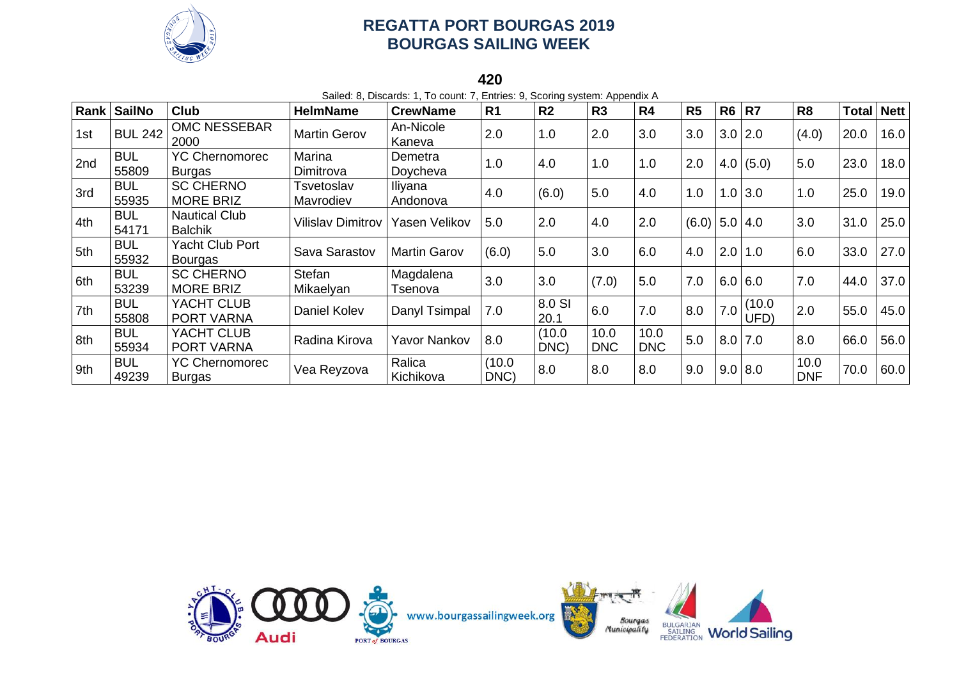

**420**

Sailed: 8, Discards: 1, To count: 7, Entries: 9, Scoring system: Appendix A **Rank SailNo Club HelmName CrewName R1 R2 R3 R4 R5 R6 R7 R8 Total Nett** 1st BUL 242 OMC NESSEBAR Martin Gerov An-Nicole Kaneva 2.0 1.0 2.0 3.0 3.0 3.0 2.0 (4.0) 20.0 16.0  $2nd$  BUL 55809 YC Chernomorec Burgas Marina Dimitrova Demetra Doycheva 1.0 4.0 1.0 1.0 2.0 4.0 (5.0) 5.0 23.0 18.0  $3rd$  BUL 55935 SC CHERNO MORE BRIZ **Tsvetoslav** Mavrodiev Iliyana Andonova 4.0 (6.0) 5.0 4.0 1.0 1.0 3.0 1.0 25.0 19.0  $4th$  BUL 54171 Nautical Club Nautical Oldb (Vilislav Dimitrov Yasen Velikov | 5.0 | 2.0 | 4.0 | 2.0 | (6.0) | 5.0 | 4.0 | 3.0 | 31.0 | 25.0<br>Balchik 5th BUL 55932 Yacht Club Port<br>Bourgas Pacht Orac Territ Clava Sarastov Martin Garov (6.0)  $\begin{vmatrix} 6.0 \\ 5.0 \\ 3.0 \\ 6.0 \\ 4.0 \end{vmatrix}$  4.0  $\begin{vmatrix} 2.0 \\ 1.0 \\ 6.0 \\ 6.0 \\ 6.0 \\ 33.0 \end{vmatrix}$  27.0  $6th$  BUL 53239 SC CHERNO MORE BRIZ **Stefan** Mikaelyan Magdalena Tsenova 3.0 3.0 (7.0) 5.0 7.0 6.0 6.0 7.0 44.0 37.0  $7th$  BUL 55808 YACHT CLUB PORT VARNA Daniel Kolev Danyl Tsimpal 7.0 8.0 SI  $\begin{array}{c|c} 8.0 \text{ SI} & 6.0 & 7.0 \ 20.1 & 6.0 & 7.0 \end{array}$   $\begin{array}{|c|c|c|c|} 8.0 & 7.0 & 10.0 \ 8.0 & 7.0 & 0 \end{array}$  $\begin{array}{|c|c|c|c|c|c|} \hline (10.0 & 2.0 & 55.0 & 45.0 \hline \end{array}$  $8th$  BUL 55934 YACHT CLUB PORT VARNA Radina Kirova Yavor Nankov 8.0 (10.0 DNC) 10.0 DNC 10.0  $\begin{array}{|c|c|c|c|c|c|c|c|} \hline 10.0 & 5.0 & 8.0 & 7.0 & 8.0 & 66.0 & 56.0 \ \hline \end{array}$  $9th$  BUL 49239 YC Chernomorec Burgas Vea Reyzova Ralica Kichikova  $(10.0)$  $\begin{array}{|c|c|c|c|c|c|} \hline \text{(10.0} & \text{8.0} & \text{8.0} & \text{8.0} & \text{9.0} & \text{9.0} & \text{8.0} & \text{DNF} \ \hline \end{array}$  $\begin{array}{|c|c|c|c|c|} \hline 10.0 & 70.0 & 60.0 \end{array}$ 

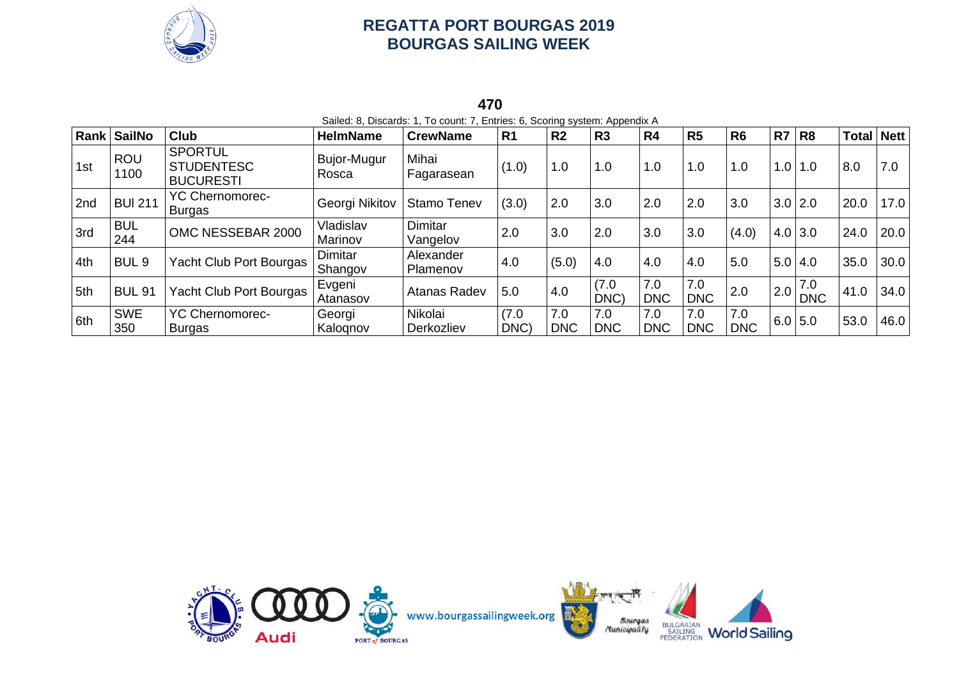

#### **470** Sailed: 8, Discards: 1, To count: 7, Entries: 6, Scoring system: Appendix A

|     | Rank SailNo        | <b>Club</b>                                             | <b>HelmName</b>      | <b>CrewName</b>              | R <sub>1</sub> | R <sub>2</sub>    | R <sub>3</sub>    | R <sub>4</sub>    | R <sub>5</sub>    | R <sub>6</sub>    | R7  | R <sub>8</sub>    | <b>Total</b> | Nett |
|-----|--------------------|---------------------------------------------------------|----------------------|------------------------------|----------------|-------------------|-------------------|-------------------|-------------------|-------------------|-----|-------------------|--------------|------|
| 1st | <b>ROU</b><br>1100 | <b>SPORTUL</b><br><b>STUDENTESC</b><br><b>BUCURESTI</b> | Bujor-Mugur<br>Rosca | Mihai<br>Fagarasean          | (1.0)          | 1.0               | 1.0               | 1.0               | 1.0               | 1.0               | 1.0 | 1.0               | 8.0          | 7.0  |
| 2nd | <b>BUI 211</b>     | <b>YC Chernomorec-</b><br><b>Burgas</b>                 | Georgi Nikitov       | <b>Stamo Tenev</b>           | (3.0)          | 2.0               | 3.0               | 2.0               | 2.0               | 3.0               |     | $3.0$ 2.0         | 20.0         | 17.0 |
| 3rd | <b>BUL</b><br>244  | OMC NESSEBAR 2000                                       | Vladislav<br>Marinov | Dimitar<br>Vangelov          | 2.0            | 3.0               | 2.0               | 3.0               | 3.0               | (4.0)             |     | $4.0$ 3.0         | 24.0         | 20.0 |
| 4th | BUL <sub>9</sub>   | Yacht Club Port Bourgas                                 | Dimitar<br>Shangov   | Alexander<br><b>Plamenov</b> | 4.0            | (5.0)             | 4.0               | 4.0               | 4.0               | 5.0               | 5.0 | 4.0               | 35.0         | 30.0 |
| 5th | <b>BUL 91</b>      | Yacht Club Port Bourgas                                 | Evgeni<br>Atanasov   | Atanas Radev                 | 5.0            | 4.0               | (7.0)<br>DNC)     | 7.0<br><b>DNC</b> | 7.0<br><b>DNC</b> | 2.0               | 2.0 | 7.0<br><b>DNC</b> | 41.0         | 34.0 |
| 6th | <b>SWE</b><br>350  | <b>YC Chernomorec-</b><br><b>Burgas</b>                 | Georgi<br>Kalognov   | Nikolai<br>Derkozliev        | (7.0)<br>DNC)  | 7.0<br><b>DNC</b> | 7.0<br><b>DNC</b> | 7.0<br><b>DNC</b> | 7.0<br><b>DNC</b> | 7.0<br><b>DNC</b> |     | 6.0   5.0         | 53.0         | 46.0 |

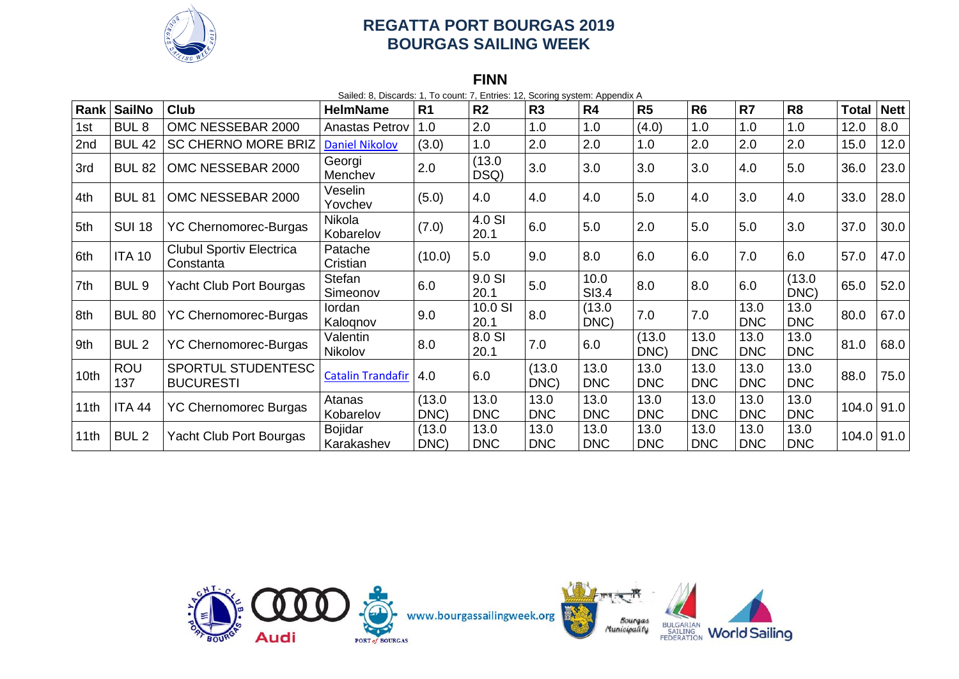

#### **FINN**

Sailed: 8, Discards: 1, To count: 7, Entries: 12, Scoring system: Appendix A

| Rank             | <b>SailNo</b>     | <b>Club</b>                                  | <b>HelmName</b>              | R <sub>1</sub> | R <sub>2</sub>     | R <sub>3</sub>     | R <sub>4</sub>     | R5                 | R <sub>6</sub>     | R7                 | R <sub>8</sub>     | <b>Total</b> | <b>Nett</b> |
|------------------|-------------------|----------------------------------------------|------------------------------|----------------|--------------------|--------------------|--------------------|--------------------|--------------------|--------------------|--------------------|--------------|-------------|
| 1st              | BUL <sub>8</sub>  | OMC NESSEBAR 2000                            | Anastas Petrov               | 1.0            | 2.0                | 1.0                | 1.0                | (4.0)              | 1.0                | 1.0                | 1.0                | 12.0         | 8.0         |
| 2nd              | <b>BUL 42</b>     | <b>SC CHERNO MORE BRIZ</b>                   | <b>Daniel Nikolov</b>        | (3.0)          | 1.0                | 2.0                | 2.0                | 1.0                | 2.0                | 2.0                | 2.0                | 15.0         | 12.0        |
| 3rd              | <b>BUL 82</b>     | OMC NESSEBAR 2000                            | Georgi<br>Menchev            | 2.0            | (13.0)<br>DSQ)     | 3.0                | 3.0                | 3.0                | 3.0                | 4.0                | 5.0                | 36.0         | 23.0        |
| 4th              | <b>BUL 81</b>     | OMC NESSEBAR 2000                            | Veselin<br>Yovchev           | (5.0)          | 4.0                | 4.0                | 4.0                | 5.0                | 4.0                | 3.0                | 4.0                | 33.0         | 28.0        |
| 5th              | <b>SUI 18</b>     | <b>YC Chernomorec-Burgas</b>                 | Nikola<br>Kobarelov          | (7.0)          | 4.0 SI<br>20.1     | 6.0                | 5.0                | 2.0                | 5.0                | 5.0                | 3.0                | 37.0         | 30.0        |
| 6th              | <b>ITA 10</b>     | <b>Clubul Sportiv Electrica</b><br>Constanta | Patache<br>Cristian          | (10.0)         | 5.0                | 9.0                | 8.0                | 6.0                | 6.0                | 7.0                | 6.0                | 57.0         | 47.0        |
| 7th              | BUL <sub>9</sub>  | Yacht Club Port Bourgas                      | <b>Stefan</b><br>Simeonov    | 6.0            | 9.0 SI<br>20.1     | 5.0                | 10.0<br>SI3.4      | 8.0                | 8.0                | 6.0                | (13.0)<br>DNC)     | 65.0         | 52.0        |
| 8th              | <b>BUL 80</b>     | <b>YC Chernomorec-Burgas</b>                 | lordan<br>Kaloqnov           | 9.0            | 10.0 SI<br>20.1    | 8.0                | (13.0)<br>DNC)     | 7.0                | 7.0                | 13.0<br><b>DNC</b> | 13.0<br><b>DNC</b> | 80.0         | 67.0        |
| 9th              | BUL <sub>2</sub>  | <b>YC Chernomorec-Burgas</b>                 | Valentin<br>Nikolov          | 8.0            | 8.0 SI<br>20.1     | 7.0                | 6.0                | (13.0)<br>DNC)     | 13.0<br><b>DNC</b> | 13.0<br><b>DNC</b> | 13.0<br><b>DNC</b> | 81.0         | 68.0        |
| 10 <sub>th</sub> | <b>ROU</b><br>137 | SPORTUL STUDENTESC<br><b>BUCURESTI</b>       | <b>Catalin Trandafir</b>     | 4.0            | 6.0                | (13.0)<br>DNC)     | 13.0<br><b>DNC</b> | 13.0<br><b>DNC</b> | 13.0<br><b>DNC</b> | 13.0<br><b>DNC</b> | 13.0<br><b>DNC</b> | 88.0         | 75.0        |
| 11th             | <b>ITA 44</b>     | <b>YC Chernomorec Burgas</b>                 | Atanas<br>Kobarelov          | (13.0)<br>DNC) | 13.0<br><b>DNC</b> | 13.0<br><b>DNC</b> | 13.0<br><b>DNC</b> | 13.0<br><b>DNC</b> | 13.0<br><b>DNC</b> | 13.0<br><b>DNC</b> | 13.0<br><b>DNC</b> | 104.0        | 91.0        |
| 11th             | BUL <sub>2</sub>  | Yacht Club Port Bourgas                      | <b>Bojidar</b><br>Karakashev | (13.0)<br>DNC) | 13.0<br><b>DNC</b> | 13.0<br><b>DNC</b> | 13.0<br><b>DNC</b> | 13.0<br><b>DNC</b> | 13.0<br><b>DNC</b> | 13.0<br><b>DNC</b> | 13.0<br><b>DNC</b> | $104.0$ 91.0 |             |

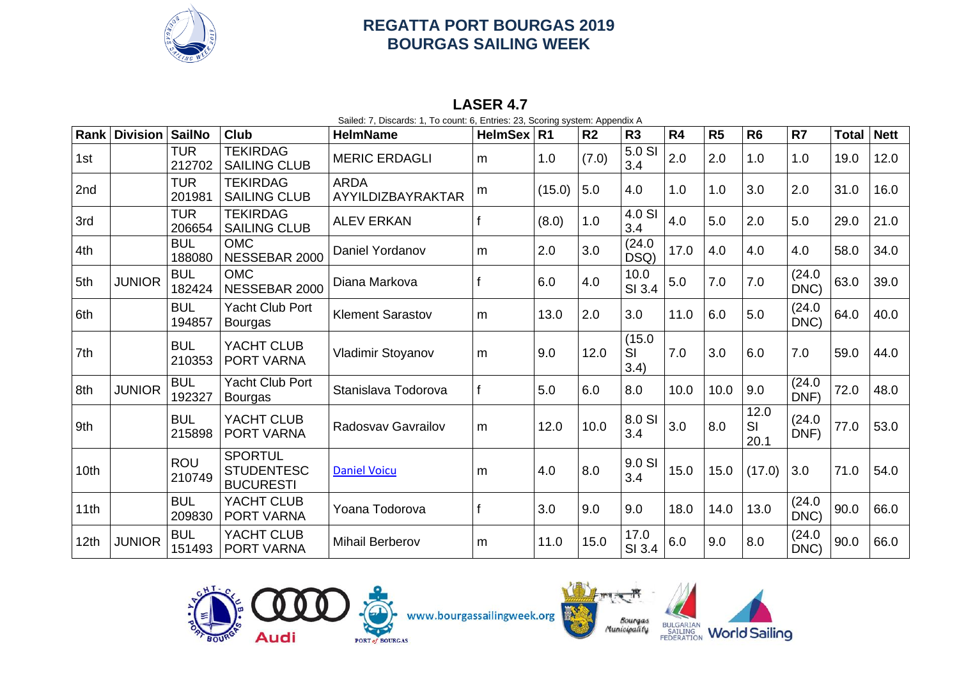

#### **LASER 4.7**

Sailed: 7, Discards: 1, To count: 6, Entries: 23, Scoring system: Appendix A

| Rank             | <b>Division</b> | <b>SailNo</b>        | <b>Club</b>                                             | <b>HelmName</b>                  | <b>HelmSex</b> | R <sub>1</sub> | R <sub>2</sub> | R <sub>3</sub>       | R4   | R <sub>5</sub> | R <sub>6</sub>     | R <sub>7</sub> | <b>Total</b> | <b>Nett</b> |
|------------------|-----------------|----------------------|---------------------------------------------------------|----------------------------------|----------------|----------------|----------------|----------------------|------|----------------|--------------------|----------------|--------------|-------------|
| 1st              |                 | <b>TUR</b><br>212702 | <b>TEKIRDAG</b><br><b>SAILING CLUB</b>                  | <b>MERIC ERDAGLI</b>             | m              | 1.0            | (7.0)          | 5.0 SI<br>3.4        | 2.0  | 2.0            | 1.0                | 1.0            | 19.0         | 12.0        |
| 2nd              |                 | <b>TUR</b><br>201981 | <b>TEKIRDAG</b><br><b>SAILING CLUB</b>                  | <b>ARDA</b><br>AYYILDIZBAYRAKTAR | m              | (15.0)         | 5.0            | 4.0                  | 1.0  | 1.0            | 3.0                | 2.0            | 31.0         | 16.0        |
| 3rd              |                 | <b>TUR</b><br>206654 | <b>TEKIRDAG</b><br><b>SAILING CLUB</b>                  | <b>ALEV ERKAN</b>                |                | (8.0)          | 1.0            | 4.0 SI<br>3.4        | 4.0  | 5.0            | 2.0                | 5.0            | 29.0         | 21.0        |
| 4th              |                 | <b>BUL</b><br>188080 | <b>OMC</b><br>NESSEBAR 2000                             | Daniel Yordanov                  | m              | 2.0            | 3.0            | (24.0)<br>DSQ)       | 17.0 | 4.0            | 4.0                | 4.0            | 58.0         | 34.0        |
| 5th              | <b>JUNIOR</b>   | <b>BUL</b><br>182424 | <b>OMC</b><br>NESSEBAR 2000                             | Diana Markova                    |                | 6.0            | 4.0            | 10.0<br>SI 3.4       | 5.0  | 7.0            | 7.0                | (24.0)<br>DNC) | 63.0         | 39.0        |
| 6th              |                 | <b>BUL</b><br>194857 | <b>Yacht Club Port</b><br><b>Bourgas</b>                | <b>Klement Sarastov</b>          | m              | 13.0           | 2.0            | 3.0                  | 11.0 | 6.0            | 5.0                | (24.0)<br>DNC) | 64.0         | 40.0        |
| 7th              |                 | <b>BUL</b><br>210353 | YACHT CLUB<br>PORT VARNA                                | Vladimir Stoyanov                | m              | 9.0            | 12.0           | (15.0)<br>SI<br>3.4) | 7.0  | 3.0            | 6.0                | 7.0            | 59.0         | 44.0        |
| 8th              | <b>JUNIOR</b>   | <b>BUL</b><br>192327 | <b>Yacht Club Port</b><br>Bourgas                       | Stanislava Todorova              |                | 5.0            | 6.0            | 8.0                  | 10.0 | 10.0           | 9.0                | (24.0)<br>DNF) | 72.0         | 48.0        |
| 9th              |                 | <b>BUL</b><br>215898 | YACHT CLUB<br>PORT VARNA                                | <b>Radosvav Gavrailov</b>        | m              | 12.0           | 10.0           | 8.0 SI<br>3.4        | 3.0  | 8.0            | 12.0<br>SI<br>20.1 | (24.0)<br>DNF) | 77.0         | 53.0        |
| 10th             |                 | <b>ROU</b><br>210749 | <b>SPORTUL</b><br><b>STUDENTESC</b><br><b>BUCURESTI</b> | <b>Daniel Voicu</b>              | m              | 4.0            | 8.0            | 9.0 SI<br>3.4        | 15.0 | 15.0           | (17.0)             | 3.0            | 71.0         | 54.0        |
| 11th             |                 | <b>BUL</b><br>209830 | YACHT CLUB<br>PORT VARNA                                | Yoana Todorova                   |                | 3.0            | 9.0            | 9.0                  | 18.0 | 14.0           | 13.0               | (24.0)<br>DNC) | 90.0         | 66.0        |
| 12 <sub>th</sub> | <b>JUNIOR</b>   | <b>BUL</b><br>151493 | YACHT CLUB<br>PORT VARNA                                | <b>Mihail Berberov</b>           | m              | 11.0           | 15.0           | 17.0<br>SI 3.4       | 6.0  | 9.0            | 8.0                | (24.0)<br>DNC) | 90.0         | 66.0        |







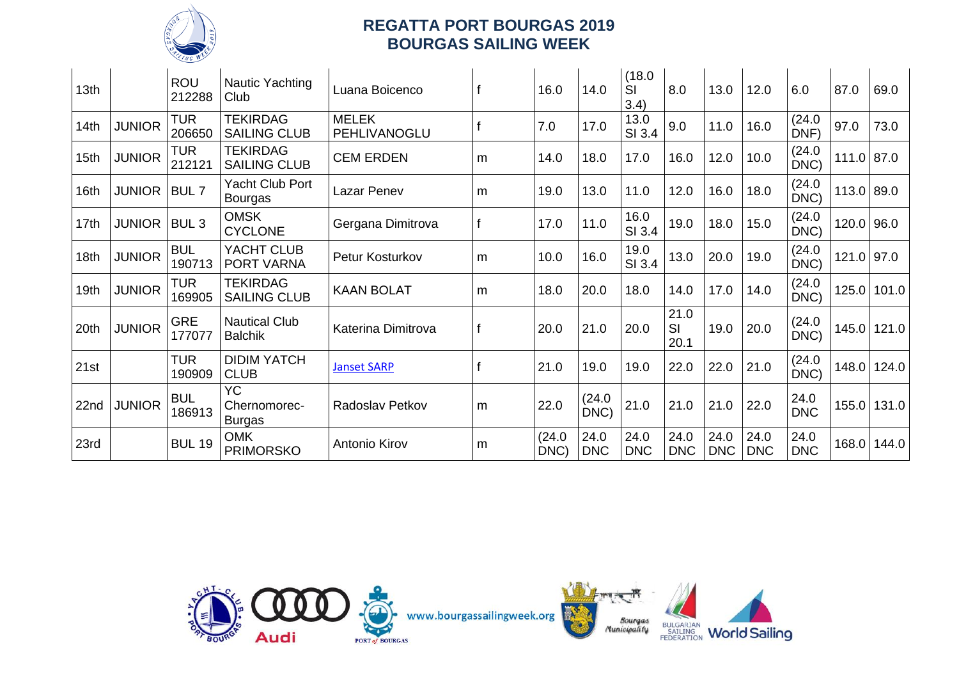

| 13 <sub>th</sub> |               | <b>ROU</b><br>212288 | <b>Nautic Yachting</b><br>Club             | Luana Boicenco               |    | 16.0           | 14.0               | (18.0)<br>SI<br>3.4) | 8.0                | 13.0               | 12.0               | 6.0                | 87.0         | 69.0  |
|------------------|---------------|----------------------|--------------------------------------------|------------------------------|----|----------------|--------------------|----------------------|--------------------|--------------------|--------------------|--------------------|--------------|-------|
| 14th             | <b>JUNIOR</b> | <b>TUR</b><br>206650 | <b>TEKIRDAG</b><br><b>SAILING CLUB</b>     | <b>MELEK</b><br>PEHLIVANOGLU |    | 7.0            | 17.0               | 13.0<br>SI 3.4       | 9.0                | 11.0               | 16.0               | (24.0)<br>DNF)     | 97.0         | 73.0  |
| 15th             | <b>JUNIOR</b> | <b>TUR</b><br>212121 | <b>TEKIRDAG</b><br><b>SAILING CLUB</b>     | <b>CEM ERDEN</b>             | m  | 14.0           | 18.0               | 17.0                 | 16.0               | 12.0               | 10.0               | (24.0)<br>DNC)     | $111.0$ 87.0 |       |
| 16th             | <b>JUNIOR</b> | BUL <sub>7</sub>     | Yacht Club Port<br>Bourgas                 | <b>Lazar Penev</b>           | m  | 19.0           | 13.0               | 11.0                 | 12.0               | 16.0               | 18.0               | (24.0)<br>DNC)     | 113.0 89.0   |       |
| 17th             | <b>JUNIOR</b> | BUL <sub>3</sub>     | <b>OMSK</b><br><b>CYCLONE</b>              | Gergana Dimitrova            | ١f | 17.0           | 11.0               | 16.0<br>SI 3.4       | 19.0               | 18.0               | 15.0               | (24.0)<br>DNC)     | 120.0 96.0   |       |
| 18 <sub>th</sub> | <b>JUNIOR</b> | <b>BUL</b><br>190713 | YACHT CLUB<br>PORT VARNA                   | Petur Kosturkov              | m  | 10.0           | 16.0               | 19.0<br>SI 3.4       | 13.0               | 20.0               | 19.0               | (24.0)<br>DNC)     | $121.0$ 97.0 |       |
| 19th             | <b>JUNIOR</b> | <b>TUR</b><br>169905 | <b>TEKIRDAG</b><br><b>SAILING CLUB</b>     | <b>KAAN BOLAT</b>            | m  | 18.0           | 20.0               | 18.0                 | 14.0               | 17.0               | 14.0               | (24.0)<br>DNC)     | 125.0        | 101.0 |
| 20th             | <b>JUNIOR</b> | <b>GRE</b><br>177077 | <b>Nautical Club</b><br><b>Balchik</b>     | Katerina Dimitrova           |    | 20.0           | 21.0               | 20.0                 | 21.0<br>SI<br>20.1 | 19.0               | 20.0               | (24.0)<br>DNC)     | 145.0        | 121.0 |
| 21st             |               | <b>TUR</b><br>190909 | <b>DIDIM YATCH</b><br><b>CLUB</b>          | <b>Janset SARP</b>           |    | 21.0           | 19.0               | 19.0                 | 22.0               | 22.0               | 21.0               | (24.0)<br>DNC)     | 148.0        | 124.0 |
| 22nd             | <b>JUNIOR</b> | <b>BUL</b><br>186913 | <b>YC</b><br>Chernomorec-<br><b>Burgas</b> | Radoslav Petkov              | m  | 22.0           | (24.0)<br>DNC)     | 21.0                 | 21.0               | 21.0               | 22.0               | 24.0<br><b>DNC</b> | 155.0        | 131.0 |
| 23rd             |               | <b>BUL 19</b>        | <b>OMK</b><br><b>PRIMORSKO</b>             | Antonio Kirov                | m  | (24.0)<br>DNC) | 24.0<br><b>DNC</b> | 24.0<br><b>DNC</b>   | 24.0<br><b>DNC</b> | 24.0<br><b>DNC</b> | 24.0<br><b>DNC</b> | 24.0<br><b>DNC</b> | 168.0        | 144.0 |

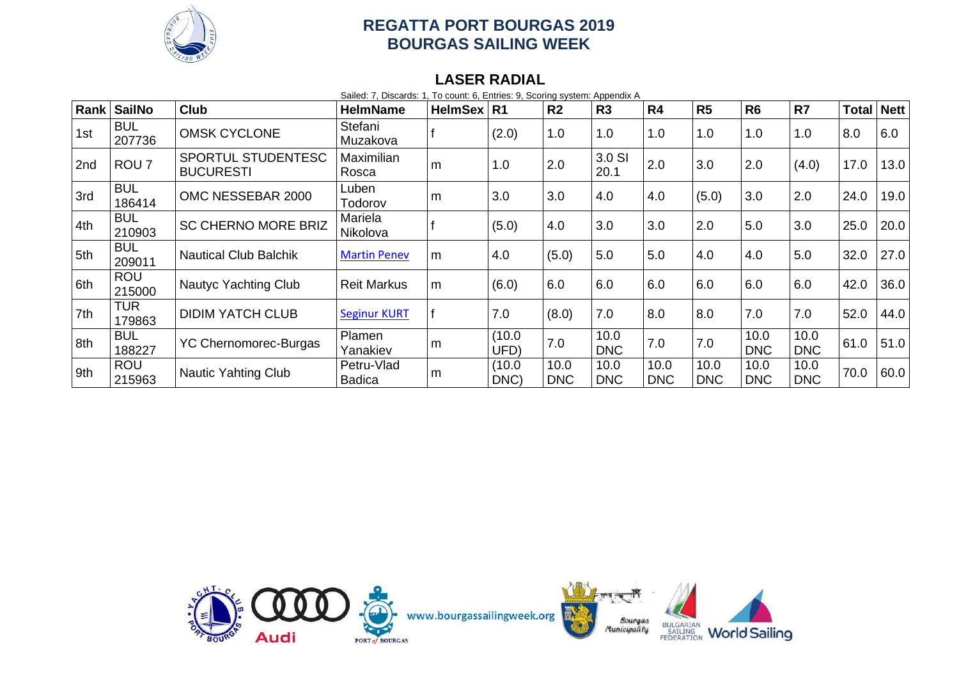

#### **LASER RADIAL**

Sailed: 7, Discards: 1, To count: 6, Entries: 9, Scoring system: Appendix A

| Rank | SailNo               | <b>Club</b>                            | <b>HelmName</b>             | <b>HelmSex</b> | l R1           | R <sub>2</sub>     | R3                 | R <sub>4</sub>     | R <sub>5</sub>     | R <sub>6</sub>     | R <sub>7</sub>     | <b>Total</b> | Nett |
|------|----------------------|----------------------------------------|-----------------------------|----------------|----------------|--------------------|--------------------|--------------------|--------------------|--------------------|--------------------|--------------|------|
| 1st  | <b>BUL</b><br>207736 | <b>OMSK CYCLONE</b>                    | Stefani<br>Muzakova         |                | (2.0)          | 1.0                | 1.0                | 1.0                | 1.0                | 1.0                | 1.0                | 8.0          | 6.0  |
| 2nd  | ROU <sub>7</sub>     | SPORTUL STUDENTESC<br><b>BUCURESTI</b> | <b>Maximilian</b><br>Rosca  | m              | 1.0            | 2.0                | 3.0 SI<br>20.1     | 2.0                | 3.0                | 2.0                | (4.0)              | 17.0         | 13.0 |
| 3rd  | <b>BUL</b><br>186414 | OMC NESSEBAR 2000                      | Luben<br>Todorov            | m              | 3.0            | 3.0                | 4.0                | 4.0                | (5.0)              | 3.0                | 2.0                | 24.0         | 19.0 |
| 4th  | <b>BUL</b><br>210903 | <b>SC CHERNO MORE BRIZ</b>             | Mariela<br>Nikolova         |                | (5.0)          | 4.0                | 3.0                | 3.0                | 2.0                | 5.0                | 3.0                | 25.0         | 20.0 |
| 5th  | <b>BUL</b><br>209011 | <b>Nautical Club Balchik</b>           | <b>Martin Penev</b>         | m              | 4.0            | (5.0)              | 5.0                | 5.0                | 4.0                | 4.0                | 5.0                | 32.0         | 27.0 |
| 6th  | <b>ROU</b><br>215000 | <b>Nautyc Yachting Club</b>            | <b>Reit Markus</b>          | m              | (6.0)          | 6.0                | 6.0                | 6.0                | 6.0                | 6.0                | 6.0                | 42.0         | 36.0 |
| 7th  | <b>TUR</b><br>179863 | <b>DIDIM YATCH CLUB</b>                | <b>Seginur KURT</b>         |                | 7.0            | (8.0)              | 7.0                | 8.0                | 8.0                | 7.0                | 7.0                | 52.0         | 44.0 |
| 8th  | <b>BUL</b><br>188227 | <b>YC Chernomorec-Burgas</b>           | Plamen<br>Yanakiev          | m              | (10.0)<br>UFD) | 7.0                | 10.0<br><b>DNC</b> | 7.0                | 7.0                | 10.0<br><b>DNC</b> | 10.0<br><b>DNC</b> | 61.0         | 51.0 |
| 9th  | <b>ROU</b><br>215963 | <b>Nautic Yahting Club</b>             | Petru-Vlad<br><b>Badica</b> | m              | (10.0)<br>DNC) | 10.0<br><b>DNC</b> | 10.0<br><b>DNC</b> | 10.0<br><b>DNC</b> | 10.0<br><b>DNC</b> | 10.0<br><b>DNC</b> | 10.0<br><b>DNC</b> | 70.0         | 60.0 |

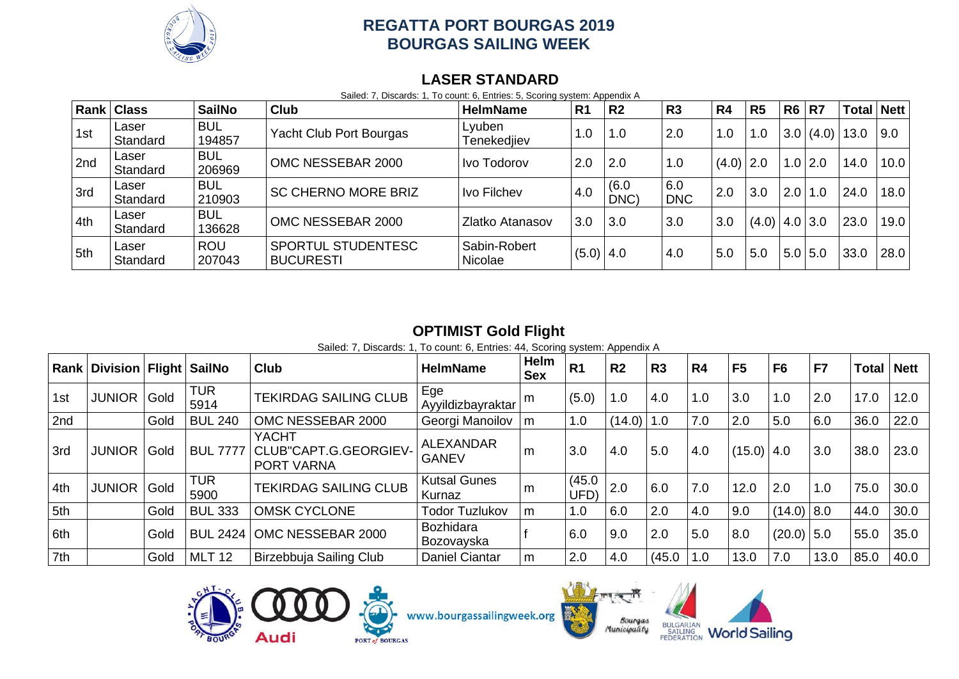

#### **LASER STANDARD**

Sailed: 7, Discards: 1, To count: 6, Entries: 5, Scoring system: Appendix A

| Rank | <b>Class</b>      | <b>SailNo</b>        | <b>Club</b>                                   | <b>HelmName</b>         | R <sub>1</sub> | R <sub>2</sub> | R <sub>3</sub>    | R <sub>4</sub> | R <sub>5</sub> | R <sub>6</sub> | R7          | <b>Total Nett</b> |      |
|------|-------------------|----------------------|-----------------------------------------------|-------------------------|----------------|----------------|-------------------|----------------|----------------|----------------|-------------|-------------------|------|
| 1st  | Laser<br>Standard | <b>BUL</b><br>194857 | Yacht Club Port Bourgas                       | Lyuben<br>Tenekedjiev   | 1.0            | 1.0            | 2.0               | 1.0            | 1.0            | 3.0            | (4.0)       | 13.0              | 9.0  |
| 2nd  | Laser<br>Standard | <b>BUL</b><br>206969 | OMC NESSEBAR 2000                             | Ivo Todorov             | 2.0            | 2.0            | 1.0               | $(4.0)$   2.0  |                |                | $1.0$   2.0 | 14.0              | 10.0 |
| 3rd  | Laser<br>Standard | <b>BUL</b><br>210903 | <b>SC CHERNO MORE BRIZ</b>                    | Ivo Filchev             | 4.0            | (6.0)<br>DNC)  | 6.0<br><b>DNC</b> | 2.0            | 3.0            | $2.0$  1.0     |             | 24.0              | 18.0 |
| 4th  | Laser<br>Standard | <b>BUL</b><br>136628 | OMC NESSEBAR 2000                             | Zlatko Atanasov         | 3.0            | 3.0            | 3.0               | 3.0            | (4.0)          | 4.0   3.0      |             | 23.0              | 19.0 |
| 5th  | Laser<br>Standard | <b>ROU</b><br>207043 | <b>SPORTUL STUDENTESC</b><br><b>BUCURESTI</b> | Sabin-Robert<br>Nicolae | $(5.0)$ 4.0    |                | 4.0               | 5.0            | 5.0            | 5.0            | 5.0         | 33.0              | 28.0 |

# **OPTIMIST Gold Flight**

Sailed: 7, Discards: 1, To count: 6, Entries: 44, Scoring system: Appendix A

| Rank | Division   Flight   SailNo |      |                    | <b>Club</b>                                                | <b>HelmName</b>                  | Helm<br><b>Sex</b> | R <sub>1</sub> | R <sub>2</sub> | R <sub>3</sub> | R4  | F <sub>5</sub> | F <sub>6</sub> | F7   | <b>Total   Nett</b> |      |
|------|----------------------------|------|--------------------|------------------------------------------------------------|----------------------------------|--------------------|----------------|----------------|----------------|-----|----------------|----------------|------|---------------------|------|
| 1st  | <b>JUNIOR</b>              | Gold | <b>TUR</b><br>5914 | <b>TEKIRDAG SAILING CLUB</b>                               | Ege<br>Ayyildizbayraktar         | m                  | (5.0)          | 1.0            | 4.0            | 1.0 | 3.0            | 1.0            | 2.0  | 17.0                | 12.0 |
| 2nd  |                            | Gold | <b>BUL 240</b>     | OMC NESSEBAR 2000                                          | Georgi Manoilov                  | m                  | 1.0            | $(14.0)$   1.0 |                | 7.0 | 2.0            | 5.0            | 6.0  | 36.0                | 22.0 |
| 3rd  | <b>JUNIOR</b>              | Gold | <b>BUL 7777</b>    | <b>YACHT</b><br>CLUB"CAPT.G.GEORGIEV-<br><b>PORT VARNA</b> | <b>ALEXANDAR</b><br><b>GANEV</b> | m                  | 3.0            | 4.0            | 5.0            | 4.0 | $(15.0)$   4.0 |                | 3.0  | 38.0                | 23.0 |
| 4th  | <b>JUNIOR</b>              | Gold | <b>TUR</b><br>5900 | <b>TEKIRDAG SAILING CLUB</b>                               | <b>Kutsal Gunes</b><br>Kurnaz    | m                  | (45.0)<br>UFD) | 2.0            | 6.0            | 7.0 | 12.0           | 2.0            | 1.0  | 75.0                | 30.0 |
| 5th  |                            | Gold | <b>BUL 333</b>     | <b>OMSK CYCLONE</b>                                        | <b>Todor Tuzlukov</b>            | m                  | 1.0            | 6.0            | 2.0            | 4.0 | 9.0            | $(14.0)$ 8.0   |      | 44.0                | 30.0 |
| 6th  |                            | Gold | <b>BUL 2424</b>    | OMC NESSEBAR 2000                                          | <b>Bozhidara</b><br>Bozovayska   |                    | 6.0            | 9.0            | 2.0            | 5.0 | 8.0            | $(20.0)$ 5.0   |      | 55.0                | 35.0 |
| 7th  |                            | Gold | <b>MLT 12</b>      | Birzebbuja Sailing Club                                    | <b>Daniel Ciantar</b>            | m                  | 2.0            | 4.0            | (45.0)         | 1.0 | 13.0           | 7.0            | 13.0 | 85.0                | 40.0 |







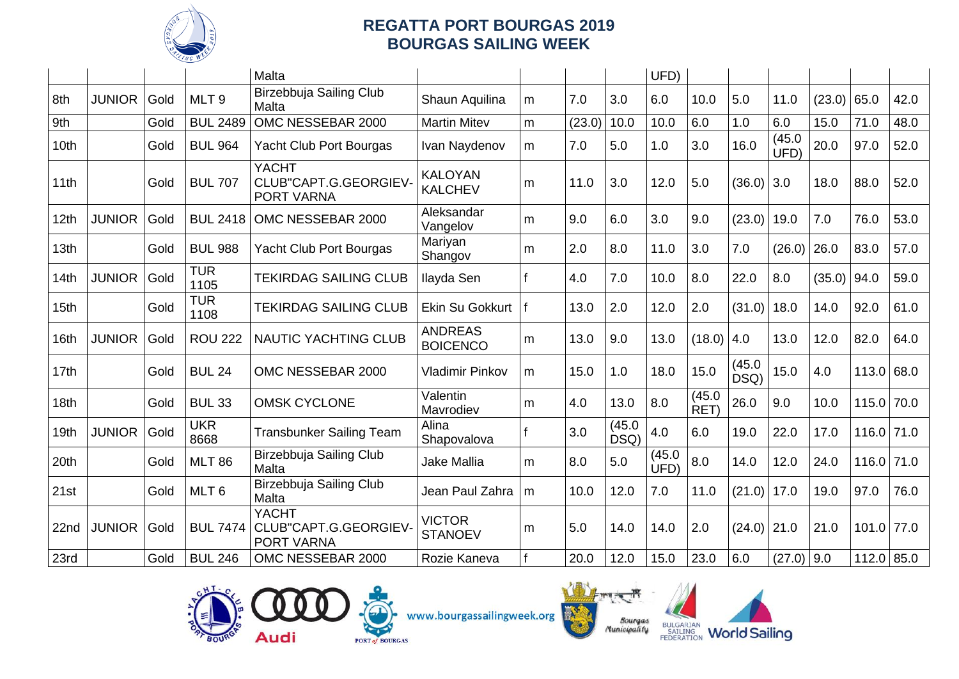

|                  |               |      |                    | Malta                                                      |                                   |              |        |                | UFD)           |                |                |                |        |              |      |
|------------------|---------------|------|--------------------|------------------------------------------------------------|-----------------------------------|--------------|--------|----------------|----------------|----------------|----------------|----------------|--------|--------------|------|
| 8th              | <b>JUNIOR</b> | Gold | MLT <sub>9</sub>   | Birzebbuja Sailing Club<br>Malta                           | Shaun Aquilina                    | m            | 7.0    | 3.0            | 6.0            | 10.0           | 5.0            | 11.0           | (23.0) | 65.0         | 42.0 |
| 9th              |               | Gold | <b>BUL 2489</b>    | OMC NESSEBAR 2000                                          | <b>Martin Mitev</b>               | m            | (23.0) | 10.0           | 10.0           | 6.0            | 1.0            | 6.0            | 15.0   | 71.0         | 48.0 |
| 10th             |               | Gold | <b>BUL 964</b>     | <b>Yacht Club Port Bourgas</b>                             | Ivan Naydenov                     | m            | 7.0    | 5.0            | 1.0            | 3.0            | 16.0           | (45.0)<br>UFD) | 20.0   | 97.0         | 52.0 |
| 11th             |               | Gold | <b>BUL 707</b>     | <b>YACHT</b><br>CLUB"CAPT.G.GEORGIEV<br>PORT VARNA         | <b>KALOYAN</b><br><b>KALCHEV</b>  | m            | 11.0   | 3.0            | 12.0           | 5.0            | (36.0)         | 3.0            | 18.0   | 88.0         | 52.0 |
| 12th             | <b>JUNIOR</b> | Gold | <b>BUL 2418</b>    | OMC NESSEBAR 2000                                          | Aleksandar<br>Vangelov            | m            | 9.0    | 6.0            | 3.0            | 9.0            | (23.0)         | 19.0           | 7.0    | 76.0         | 53.0 |
| 13th             |               | Gold | <b>BUL 988</b>     | Yacht Club Port Bourgas                                    | Mariyan<br>Shangov                | m            | 2.0    | 8.0            | 11.0           | 3.0            | 7.0            | (26.0)         | 26.0   | 83.0         | 57.0 |
| 14th             | <b>JUNIOR</b> | Gold | <b>TUR</b><br>1105 | <b>TEKIRDAG SAILING CLUB</b>                               | Ilayda Sen                        | $\mathbf{f}$ | 4.0    | 7.0            | 10.0           | 8.0            | 22.0           | 8.0            | (35.0) | 94.0         | 59.0 |
| 15 <sub>th</sub> |               | Gold | <b>TUR</b><br>1108 | <b>TEKIRDAG SAILING CLUB</b>                               | Ekin Su Gokkurt                   | $\mathbf f$  | 13.0   | 2.0            | 12.0           | 2.0            | (31.0)         | 18.0           | 14.0   | 92.0         | 61.0 |
| 16th             | <b>JUNIOR</b> | Gold | <b>ROU 222</b>     | <b>NAUTIC YACHTING CLUB</b>                                | <b>ANDREAS</b><br><b>BOICENCO</b> | m            | 13.0   | 9.0            | 13.0           | (18.0)         | 4.0            | 13.0           | 12.0   | 82.0         | 64.0 |
| 17 <sub>th</sub> |               | Gold | <b>BUL 24</b>      | OMC NESSEBAR 2000                                          | <b>Vladimir Pinkov</b>            | m            | 15.0   | 1.0            | 18.0           | 15.0           | (45.0)<br>DSQ) | 15.0           | 4.0    | 113.0        | 68.0 |
| 18 <sub>th</sub> |               | Gold | <b>BUL 33</b>      | <b>OMSK CYCLONE</b>                                        | Valentin<br>Mavrodiev             | m            | 4.0    | 13.0           | 8.0            | (45.0)<br>RET) | 26.0           | 9.0            | 10.0   | 115.0        | 70.0 |
| 19 <sub>th</sub> | <b>JUNIOR</b> | Gold | <b>UKR</b><br>8668 | <b>Transbunker Sailing Team</b>                            | Alina<br>Shapovalova              |              | 3.0    | (45.0)<br>DSQ) | 4.0            | 6.0            | 19.0           | 22.0           | 17.0   | 116.0        | 71.0 |
| 20th             |               | Gold | <b>MLT 86</b>      | Birzebbuja Sailing Club<br>Malta                           | Jake Mallia                       | m            | 8.0    | 5.0            | (45.0)<br>UFD) | 8.0            | 14.0           | 12.0           | 24.0   | 116.0        | 71.0 |
| 21st             |               | Gold | MLT <sub>6</sub>   | Birzebbuja Sailing Club<br>Malta                           | Jean Paul Zahra                   | m            | 10.0   | 12.0           | 7.0            | 11.0           | (21.0)         | 17.0           | 19.0   | 97.0         | 76.0 |
| 22nd             | <b>JUNIOR</b> | Gold | <b>BUL 7474</b>    | <b>YACHT</b><br>CLUB"CAPT.G.GEORGIEV-<br><b>PORT VARNA</b> | <b>VICTOR</b><br><b>STANOEV</b>   | m            | 5.0    | 14.0           | 14.0           | 2.0            | $(24.0)$ 21.0  |                | 21.0   | 101.0        | 77.0 |
| 23rd             |               | Gold | <b>BUL 246</b>     | OMC NESSEBAR 2000                                          | Rozie Kaneva                      |              | 20.0   | 12.0           | 15.0           | 23.0           | 6.0            | $(27.0)$ 9.0   |        | $112.0$ 85.0 |      |







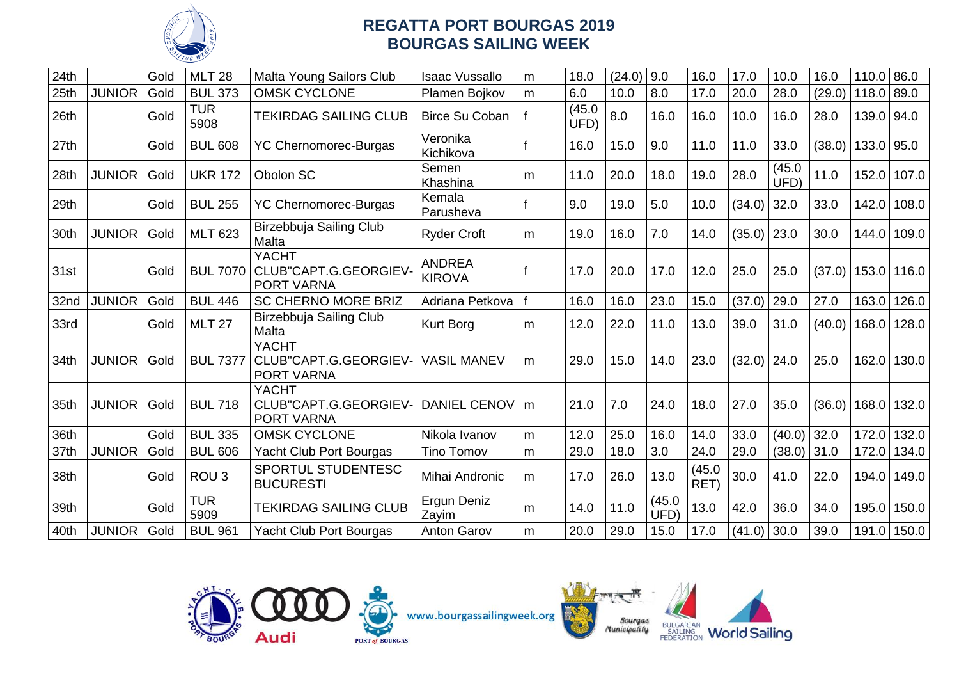

| 24th |               | Gold | <b>MLT 28</b>      | Malta Young Sailors Club                                   | <b>Isaac Vussallo</b>          | m | 18.0           | $(24.0)$ 9.0 |                | 16.0           | 17.0          | 10.0           | 16.0   | 110.0 86.0 |       |
|------|---------------|------|--------------------|------------------------------------------------------------|--------------------------------|---|----------------|--------------|----------------|----------------|---------------|----------------|--------|------------|-------|
| 25th | <b>JUNIOR</b> | Gold | <b>BUL 373</b>     | <b>OMSK CYCLONE</b>                                        | Plamen Bojkov                  | m | 6.0            | 10.0         | 8.0            | 17.0           | 20.0          | 28.0           | (29.0) | 118.0      | 89.0  |
| 26th |               | Gold | <b>TUR</b><br>5908 | <b>TEKIRDAG SAILING CLUB</b>                               | Birce Su Coban                 |   | (45.0)<br>UFD) | 8.0          | 16.0           | 16.0           | 10.0          | 16.0           | 28.0   | 139.0      | 94.0  |
| 27th |               | Gold | <b>BUL 608</b>     | <b>YC Chernomorec-Burgas</b>                               | Veronika<br>Kichikova          |   | 16.0           | 15.0         | 9.0            | 11.0           | 11.0          | 33.0           | (38.0) | 133.0 95.0 |       |
| 28th | <b>JUNIOR</b> | Gold | <b>UKR 172</b>     | Obolon SC                                                  | Semen<br>Khashina              | m | 11.0           | 20.0         | 18.0           | 19.0           | 28.0          | (45.0)<br>UFD) | 11.0   | 152.0      | 107.0 |
| 29th |               | Gold | <b>BUL 255</b>     | <b>YC Chernomorec-Burgas</b>                               | Kemala<br>Parusheva            |   | 9.0            | 19.0         | 5.0            | 10.0           | (34.0)        | 32.0           | 33.0   | 142.0      | 108.0 |
| 30th | <b>JUNIOR</b> | Gold | <b>MLT 623</b>     | Birzebbuja Sailing Club<br>Malta                           | <b>Ryder Croft</b>             | m | 19.0           | 16.0         | 7.0            | 14.0           | $(35.0)$ 23.0 |                | 30.0   | 144.0      | 109.0 |
| 31st |               | Gold | <b>BUL 7070</b>    | <b>YACHT</b><br>CLUB"CAPT.G.GEORGIEV<br>PORT VARNA         | <b>ANDREA</b><br><b>KIROVA</b> |   | 17.0           | 20.0         | 17.0           | 12.0           | 25.0          | 25.0           | (37.0) | 153.0      | 116.0 |
| 32nd | <b>JUNIOR</b> | Gold | <b>BUL 446</b>     | <b>SC CHERNO MORE BRIZ</b>                                 | Adriana Petkova                |   | 16.0           | 16.0         | 23.0           | 15.0           | (37.0)        | 29.0           | 27.0   | 163.0      | 126.0 |
| 33rd |               | Gold | <b>MLT 27</b>      | Birzebbuja Sailing Club<br>Malta                           | <b>Kurt Borg</b>               | m | 12.0           | 22.0         | 11.0           | 13.0           | 39.0          | 31.0           | (40.0) | 168.0      | 128.0 |
| 34th | <b>JUNIOR</b> | Gold | <b>BUL 7377</b>    | <b>YACHT</b><br>CLUB"CAPT.G.GEORGIEV-<br><b>PORT VARNA</b> | <b>VASIL MANEV</b>             | m | 29.0           | 15.0         | 14.0           | 23.0           | (32.0)        | 24.0           | 25.0   | 162.0      | 130.0 |
| 35th | <b>JUNIOR</b> | Gold | <b>BUL 718</b>     | <b>YACHT</b><br>CLUB"CAPT.G.GEORGIEV-<br><b>PORT VARNA</b> | DANIEL CENOV   m               |   | 21.0           | 7.0          | 24.0           | 18.0           | 27.0          | 35.0           | (36.0) | 168.0      | 132.0 |
| 36th |               | Gold | <b>BUL 335</b>     | <b>OMSK CYCLONE</b>                                        | Nikola Ivanov                  | m | 12.0           | 25.0         | 16.0           | 14.0           | 33.0          | $(40.0)$ 32.0  |        | 172.0      | 132.0 |
| 37th | <b>JUNIOR</b> | Gold | <b>BUL 606</b>     | Yacht Club Port Bourgas                                    | <b>Tino Tomov</b>              | m | 29.0           | 18.0         | 3.0            | 24.0           | 29.0          | (38.0)         | 31.0   | 172.0      | 134.0 |
| 38th |               | Gold | ROU <sub>3</sub>   | SPORTUL STUDENTESC<br><b>BUCURESTI</b>                     | Mihai Andronic                 | m | 17.0           | 26.0         | 13.0           | (45.0)<br>RET) | 30.0          | 41.0           | 22.0   | 194.0      | 149.0 |
| 39th |               | Gold | <b>TUR</b><br>5909 | <b>TEKIRDAG SAILING CLUB</b>                               | Ergun Deniz<br>Zayim           | m | 14.0           | 11.0         | (45.0)<br>UFD) | 13.0           | 42.0          | 36.0           | 34.0   | 195.0      | 150.0 |
| 40th | <b>JUNIOR</b> | Gold | <b>BUL 961</b>     | Yacht Club Port Bourgas                                    | <b>Anton Garov</b>             | m | 20.0           | 29.0         | 15.0           | 17.0           | (41.0)        | 30.0           | 39.0   | 191.0      | 150.0 |



www.bourgassailingweek.org



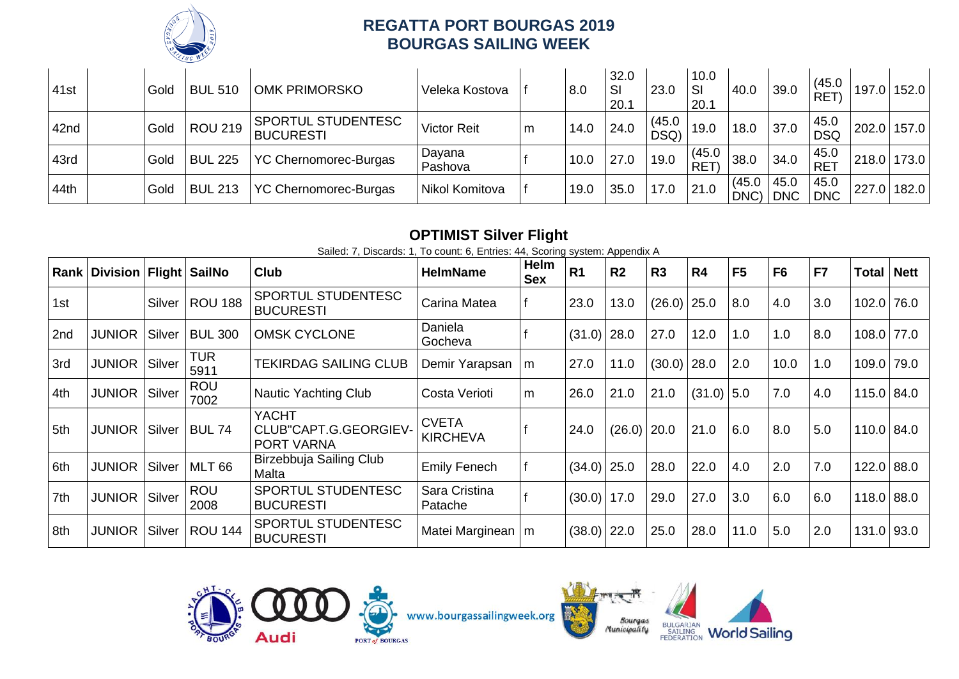

| 41st | Gold | <b>BUL 510</b> | <b>OMK PRIMORSKO</b>                          | Veleka Kostova     |   | 8.0  | 32.0<br>SI<br>20.1 | 23.0           | 10.0<br>SI<br>20.1   | 40.0           | 39.0               | (45.0)<br>RET)     |             | 197.0 152.0 |
|------|------|----------------|-----------------------------------------------|--------------------|---|------|--------------------|----------------|----------------------|----------------|--------------------|--------------------|-------------|-------------|
| 42nd | Gold | <b>ROU 219</b> | <b>SPORTUL STUDENTESC</b><br><b>BUCURESTI</b> | <b>Victor Reit</b> | m | 14.0 | 24.0               | (45.0)<br>DSQ) | 19.0                 | 18.0           | 37.0               | 45.0<br><b>DSQ</b> | 202.0 157.0 |             |
| 43rd | Gold | <b>BUL 225</b> | YC Chernomorec-Burgas                         | Dayana<br>Pashova  |   | 10.0 | 27.0               | 19.0           | (45.0)<br><b>RET</b> | 38.0           | 34.0               | 45.0<br><b>RET</b> | 218.0 173.0 |             |
| 44th | Gold | <b>BUL 213</b> | YC Chernomorec-Burgas                         | Nikol Komitova     |   | 19.0 | 35.0               | 17.0           | 21.0                 | (45.0)<br>DNC) | 45.0<br><b>DNC</b> | 45.0<br><b>DNC</b> | 227.0 182.0 |             |

# **OPTIMIST Silver Flight**

Sailed: 7, Discards: 1, To count: 6, Entries: 44, Scoring system: Appendix A

|     | Rank   Division   Flight   SailNo |        |                    | <b>Club</b>                                  | <b>HelmName</b>                 | Helm<br><b>Sex</b> | <b>R1</b>     | R <sub>2</sub> | R <sub>3</sub> | R4           | F <sub>5</sub> | F <sub>6</sub> | F7  | <b>Total Nett</b> |  |
|-----|-----------------------------------|--------|--------------------|----------------------------------------------|---------------------------------|--------------------|---------------|----------------|----------------|--------------|----------------|----------------|-----|-------------------|--|
| 1st |                                   | Silver | <b>ROU 188</b>     | SPORTUL STUDENTESC<br><b>BUCURESTI</b>       | Carina Matea                    |                    | 23.0          | 13.0           | (26.0)         | 25.0         | 8.0            | 4.0            | 3.0 | 102.0 76.0        |  |
| 2nd | <b>JUNIOR</b>                     | Silver | <b>BUL 300</b>     | <b>OMSK CYCLONE</b>                          | Daniela<br>Gocheva              |                    | $(31.0)$ 28.0 |                | 27.0           | 12.0         | 1.0            | 1.0            | 8.0 | 108.0 77.0        |  |
| 3rd | <b>JUNIOR</b>                     | Silver | <b>TUR</b><br>5911 | <b>TEKIRDAG SAILING CLUB</b>                 | Demir Yarapsan                  | m                  | 27.0          | 11.0           | $(30.0)$ 28.0  |              | 2.0            | 10.0           | 1.0 | 109.0 79.0        |  |
| 4th | <b>JUNIOR</b>                     | Silver | <b>ROU</b><br>7002 | Nautic Yachting Club                         | Costa Verioti                   | m                  | 26.0          | 21.0           | 21.0           | $(31.0)$ 5.0 |                | 7.0            | 4.0 | 115.0 84.0        |  |
| 5th | <b>JUNIOR</b>                     | Silver | <b>BUL 74</b>      | YACHT<br>CLUB"CAPT.G.GEORGIEV-<br>PORT VARNA | <b>CVETA</b><br><b>KIRCHEVA</b> |                    | 24.0          | $(26.0)$ 20.0  |                | 21.0         | 6.0            | 8.0            | 5.0 | $110.0$ 84.0      |  |
| 6th | <b>JUNIOR</b>                     | Silver | <b>MLT 66</b>      | Birzebbuja Sailing Club<br>Malta             | <b>Emily Fenech</b>             |                    | $(34.0)$ 25.0 |                | 28.0           | 22.0         | 4.0            | 2.0            | 7.0 | 122.0 88.0        |  |
| 7th | <b>JUNIOR</b>                     | Silver | <b>ROU</b><br>2008 | SPORTUL STUDENTESC<br><b>BUCURESTI</b>       | Sara Cristina<br>Patache        |                    | $(30.0)$ 17.0 |                | 29.0           | 27.0         | 3.0            | 6.0            | 6.0 | 118.0 88.0        |  |
| 8th | <b>JUNIOR</b>                     | Silver | <b>ROU 144</b>     | SPORTUL STUDENTESC<br><b>BUCURESTI</b>       | Matei Marginean   m             |                    | $(38.0)$ 22.0 |                | 25.0           | 28.0         | 11.0           | 5.0            | 2.0 | 131.0 93.0        |  |





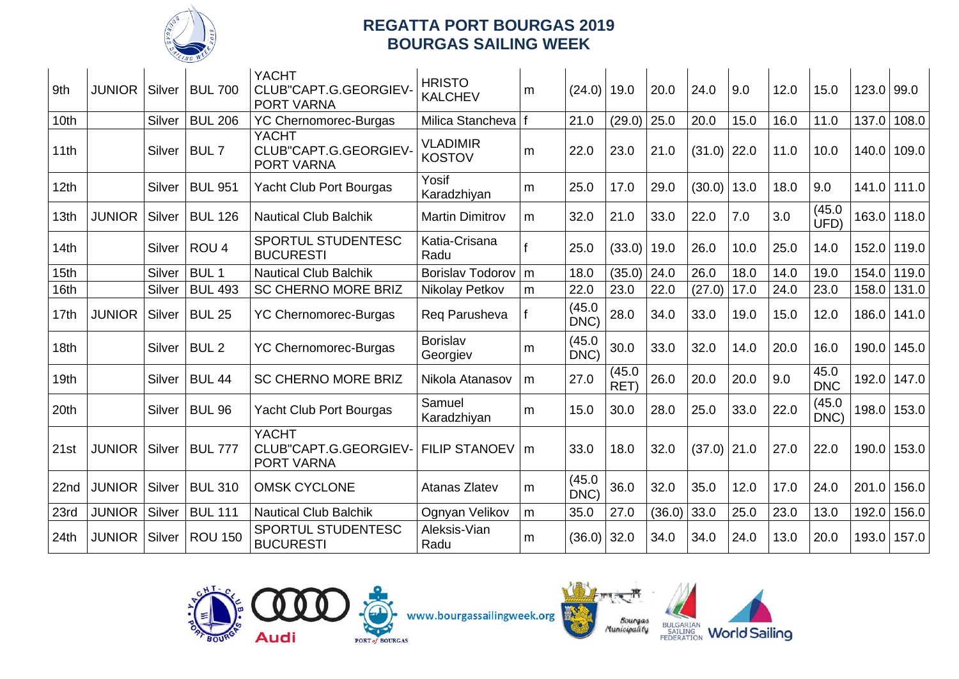

| 9th              | <b>JUNIOR</b> | Silver | <b>BUL 700</b>   | <b>YACHT</b><br>CLUB"CAPT.G.GEORGIEV-<br>PORT VARNA        | <b>HRISTO</b><br><b>KALCHEV</b>  | m | $(24.0)$ 19.0  |                | 20.0   | 24.0          | 9.0  | 12.0 | 15.0               | $123.0$ 99.0 |       |
|------------------|---------------|--------|------------------|------------------------------------------------------------|----------------------------------|---|----------------|----------------|--------|---------------|------|------|--------------------|--------------|-------|
| 10th             |               | Silver | <b>BUL 206</b>   | <b>YC Chernomorec-Burgas</b>                               | Milica Stancheva                 | f | 21.0           | (29.0)         | 25.0   | 20.0          | 15.0 | 16.0 | 11.0               | 137.0        | 108.0 |
| 11th             |               | Silver | BUL <sub>7</sub> | <b>YACHT</b><br>CLUB"CAPT.G.GEORGIEV-<br>PORT VARNA        | <b>VLADIMIR</b><br><b>KOSTOV</b> | m | 22.0           | 23.0           | 21.0   | $(31.0)$ 22.0 |      | 11.0 | 10.0               | 140.0        | 109.0 |
| 12th             |               | Silver | <b>BUL 951</b>   | <b>Yacht Club Port Bourgas</b>                             | Yosif<br>Karadzhiyan             | m | 25.0           | 17.0           | 29.0   | (30.0)        | 13.0 | 18.0 | 9.0                | 141.0        | 111.0 |
| 13th             | <b>JUNIOR</b> | Silver | <b>BUL 126</b>   | <b>Nautical Club Balchik</b>                               | <b>Martin Dimitrov</b>           | m | 32.0           | 21.0           | 33.0   | 22.0          | 7.0  | 3.0  | (45.0)<br>UFD)     | 163.0        | 118.0 |
| 14th             |               | Silver | ROU <sub>4</sub> | SPORTUL STUDENTESC<br><b>BUCURESTI</b>                     | Katia-Crisana<br>Radu            |   | 25.0           | (33.0)         | 19.0   | 26.0          | 10.0 | 25.0 | 14.0               | 152.0        | 119.0 |
| 15th             |               | Silver | BUL <sub>1</sub> | <b>Nautical Club Balchik</b>                               | <b>Borislav Todorov</b>          | m | 18.0           | (35.0)         | 24.0   | 26.0          | 18.0 | 14.0 | 19.0               | 154.0        | 119.0 |
| 16th             |               | Silver | <b>BUL 493</b>   | <b>SC CHERNO MORE BRIZ</b>                                 | Nikolay Petkov                   | m | 22.0           | 23.0           | 22.0   | (27.0)        | 17.0 | 24.0 | 23.0               | 158.0        | 131.0 |
| 17th             | <b>JUNIOR</b> | Silver | <b>BUL 25</b>    | <b>YC Chernomorec-Burgas</b>                               | Reg Parusheva                    |   | (45.0)<br>DNC) | 28.0           | 34.0   | 33.0          | 19.0 | 15.0 | 12.0               | 186.0        | 141.0 |
| 18th             |               | Silver | BUL <sub>2</sub> | <b>YC Chernomorec-Burgas</b>                               | Borislav<br>Georgiev             | m | (45.0)<br>DNC) | 30.0           | 33.0   | 32.0          | 14.0 | 20.0 | 16.0               | 190.0        | 145.0 |
| 19 <sub>th</sub> |               | Silver | <b>BUL 44</b>    | <b>SC CHERNO MORE BRIZ</b>                                 | Nikola Atanasov                  | m | 27.0           | (45.0)<br>RET) | 26.0   | 20.0          | 20.0 | 9.0  | 45.0<br><b>DNC</b> | 192.0        | 147.0 |
| 20th             |               | Silver | <b>BUL 96</b>    | Yacht Club Port Bourgas                                    | Samuel<br>Karadzhiyan            | m | 15.0           | 30.0           | 28.0   | 25.0          | 33.0 | 22.0 | (45.0)<br>DNC)     | 198.0        | 153.0 |
| 21st             | <b>JUNIOR</b> | Silver | <b>BUL 777</b>   | <b>YACHT</b><br>CLUB"CAPT.G.GEORGIEV-<br><b>PORT VARNA</b> | <b>FILIP STANOEV</b>             | m | 33.0           | 18.0           | 32.0   | $(37.0)$ 21.0 |      | 27.0 | 22.0               | 190.0        | 153.0 |
| 22nd             | <b>JUNIOR</b> | Silver | <b>BUL 310</b>   | <b>OMSK CYCLONE</b>                                        | Atanas Zlatev                    | m | (45.0)<br>DNC) | 36.0           | 32.0   | 35.0          | 12.0 | 17.0 | 24.0               | 201.0        | 156.0 |
| 23rd             | <b>JUNIOR</b> | Silver | <b>BUL 111</b>   | <b>Nautical Club Balchik</b>                               | Ognyan Velikov                   | m | 35.0           | 27.0           | (36.0) | 33.0          | 25.0 | 23.0 | 13.0               | 192.0        | 156.0 |
| 24th             | <b>JUNIOR</b> | Silver | <b>ROU 150</b>   | SPORTUL STUDENTESC<br><b>BUCURESTI</b>                     | Aleksis-Vian<br>Radu             | m | $(36.0)$ 32.0  |                | 34.0   | 34.0          | 24.0 | 13.0 | 20.0               | 193.0        | 157.0 |



www.bourgassailingweek.org



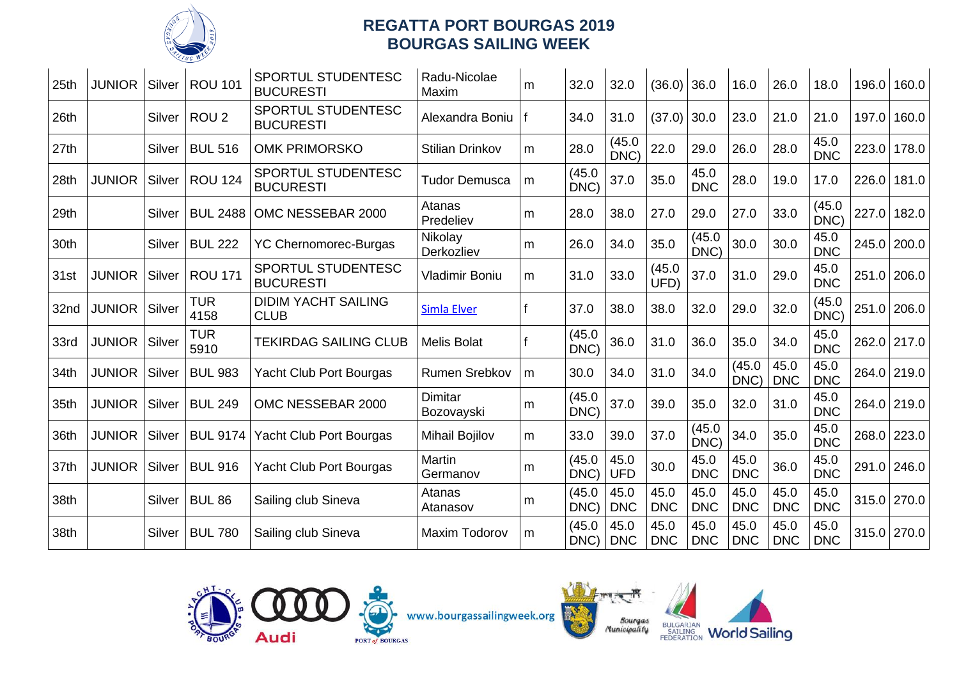

| 25th | <b>JUNIOR</b> | Silver | <b>ROU 101</b>     | <b>SPORTUL STUDENTESC</b><br><b>BUCURESTI</b> | Radu-Nicolae<br>Maxim        | m | 32.0           | 32.0               | (36.0)             | 36.0               | 16.0               | 26.0               | 18.0               | 196.0 | 160.0       |
|------|---------------|--------|--------------------|-----------------------------------------------|------------------------------|---|----------------|--------------------|--------------------|--------------------|--------------------|--------------------|--------------------|-------|-------------|
| 26th |               | Silver | ROU <sub>2</sub>   | SPORTUL STUDENTESC<br><b>BUCURESTI</b>        | Alexandra Boniu              |   | 34.0           | 31.0               | (37.0)             | 30.0               | 23.0               | 21.0               | 21.0               | 197.0 | 160.0       |
| 27th |               | Silver | <b>BUL 516</b>     | <b>OMK PRIMORSKO</b>                          | <b>Stilian Drinkov</b>       | m | 28.0           | (45.0)<br>DNC)     | 22.0               | 29.0               | 26.0               | 28.0               | 45.0<br><b>DNC</b> | 223.0 | 178.0       |
| 28th | <b>JUNIOR</b> | Silver | <b>ROU 124</b>     | SPORTUL STUDENTESC<br><b>BUCURESTI</b>        | <b>Tudor Demusca</b>         | m | (45.0)<br>DNC) | 37.0               | 35.0               | 45.0<br><b>DNC</b> | 28.0               | 19.0               | 17.0               | 226.0 | 181.0       |
| 29th |               | Silver | <b>BUL 2488</b>    | OMC NESSEBAR 2000                             | Atanas<br>Predeliev          | m | 28.0           | 38.0               | 27.0               | 29.0               | 27.0               | 33.0               | (45.0)<br>DNC)     | 227.0 | 182.0       |
| 30th |               | Silver | <b>BUL 222</b>     | <b>YC Chernomorec-Burgas</b>                  | Nikolay<br>Derkozliev        | m | 26.0           | 34.0               | 35.0               | (45.0)<br>DNC)     | 30.0               | 30.0               | 45.0<br><b>DNC</b> | 245.0 | 200.0       |
| 31st | <b>JUNIOR</b> | Silver | <b>ROU 171</b>     | SPORTUL STUDENTESC<br><b>BUCURESTI</b>        | <b>Vladimir Boniu</b>        | m | 31.0           | 33.0               | (45.0)<br>UFD)     | 37.0               | 31.0               | 29.0               | 45.0<br><b>DNC</b> |       | 251.0 206.0 |
| 32nd | <b>JUNIOR</b> | Silver | <b>TUR</b><br>4158 | <b>DIDIM YACHT SAILING</b><br><b>CLUB</b>     | <b>Simla Elver</b>           |   | 37.0           | 38.0               | 38.0               | 32.0               | 29.0               | 32.0               | (45.0)<br>DNC)     |       | 251.0 206.0 |
| 33rd | <b>JUNIOR</b> | Silver | <b>TUR</b><br>5910 | <b>TEKIRDAG SAILING CLUB</b>                  | <b>Melis Bolat</b>           |   | (45.0)<br>DNC) | 36.0               | 31.0               | 36.0               | 35.0               | 34.0               | 45.0<br><b>DNC</b> |       | 262.0 217.0 |
| 34th | <b>JUNIOR</b> | Silver | <b>BUL 983</b>     | <b>Yacht Club Port Bourgas</b>                | Rumen Srebkov                | m | 30.0           | 34.0               | 31.0               | 34.0               | (45.0)<br>DNC)     | 45.0<br><b>DNC</b> | 45.0<br><b>DNC</b> |       | 264.0 219.0 |
| 35th | <b>JUNIOR</b> | Silver | <b>BUL 249</b>     | OMC NESSEBAR 2000                             | <b>Dimitar</b><br>Bozovayski | m | (45.0)<br>DNC) | 37.0               | 39.0               | 35.0               | 32.0               | 31.0               | 45.0<br><b>DNC</b> |       | 264.0 219.0 |
| 36th | <b>JUNIOR</b> | Silver | <b>BUL 9174</b>    | <b>Yacht Club Port Bourgas</b>                | <b>Mihail Bojilov</b>        | m | 33.0           | 39.0               | 37.0               | (45.0)<br>DNC)     | 34.0               | 35.0               | 45.0<br><b>DNC</b> | 268.0 | 223.0       |
| 37th | <b>JUNIOR</b> | Silver | <b>BUL 916</b>     | Yacht Club Port Bourgas                       | Martin<br>Germanov           | m | (45.0)<br>DNC) | 45.0<br><b>UFD</b> | 30.0               | 45.0<br><b>DNC</b> | 45.0<br><b>DNC</b> | 36.0               | 45.0<br><b>DNC</b> |       | 291.0 246.0 |
| 38th |               | Silver | <b>BUL 86</b>      | Sailing club Sineva                           | Atanas<br>Atanasov           | m | (45.0)<br>DNC) | 45.0<br><b>DNC</b> | 45.0<br><b>DNC</b> | 45.0<br><b>DNC</b> | 45.0<br><b>DNC</b> | 45.0<br><b>DNC</b> | 45.0<br><b>DNC</b> |       | 315.0 270.0 |
| 38th |               | Silver | <b>BUL 780</b>     | Sailing club Sineva                           | <b>Maxim Todorov</b>         | m | (45.0)<br>DNC) | 45.0<br><b>DNC</b> | 45.0<br><b>DNC</b> | 45.0<br><b>DNC</b> | 45.0<br><b>DNC</b> | 45.0<br><b>DNC</b> | 45.0<br><b>DNC</b> |       | 315.0 270.0 |